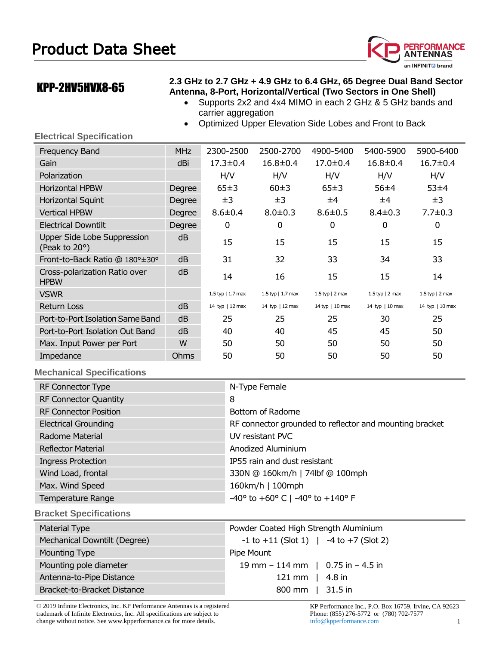

# KPP-2HV5HVX8-65

### **2.3 GHz to 2.7 GHz + 4.9 GHz to 6.4 GHz, 65 Degree Dual Band Sector Antenna, 8-Port, Horizontal/Vertical (Two Sectors in One Shell)**

- Supports 2x2 and 4x4 MIMO in each 2 GHz & 5 GHz bands and carrier aggregation
- Optimized Upper Elevation Side Lobes and Front to Back

### **Electrical Specification**

| Frequency Band                                       | <b>MHz</b> | 2300-2500            | 2500-2700             | 4900-5400         | 5400-5900            | 5900-6400        |
|------------------------------------------------------|------------|----------------------|-----------------------|-------------------|----------------------|------------------|
| Gain                                                 | dBi        | $17.3 \pm 0.4$       | $16.8 \pm 0.4$        | $17.0 \pm 0.4$    | $16.8 \pm 0.4$       | $16.7 \pm 0.4$   |
| Polarization                                         |            | H/V                  | H/V                   | H/V               | H/V                  | H/V              |
| <b>Horizontal HPBW</b>                               | Degree     | 65±3                 | 60±3                  | 65±3              | 56±4                 | 53±4             |
| Horizontal Squint                                    | Degree     | ±3                   | ±3                    | ±4                | ±4                   | ±3               |
| <b>Vertical HPBW</b>                                 | Degree     | $8.6 \pm 0.4$        | $8.0 \pm 0.3$         | $8.6 \pm 0.5$     | $8.4 \pm 0.3$        | $7.7 \pm 0.3$    |
| <b>Electrical Downtilt</b>                           | Degree     | 0                    | 0                     | 0                 | 0                    | 0                |
| Upper Side Lobe Suppression<br>(Peak to $20^\circ$ ) | dB         | 15                   | 15                    | 15                | 15                   | 15               |
| Front-to-Back Ratio @ 180°±30°                       | dB         | 31                   | 32                    | 33                | 34                   | 33               |
| Cross-polarization Ratio over<br><b>HPBW</b>         | dB         | 14                   | 16                    | 15                | 15                   | 14               |
| <b>VSWR</b>                                          |            | 1.5 typ $  1.7$ max  | $1.5$ typ   $1.7$ max | $1.5$ typ   2 max | 1.5 typ $\mid$ 2 max | 1.5 typ $ 2$ max |
| Return Loss                                          | dB         | 14 typ $\mid$ 12 max | 14 typ $\mid$ 12 max  | 14 typ   10 max   | 14 typ $\mid$ 10 max | 14 typ   10 max  |
| Port-to-Port Isolation Same Band                     | dB         | 25                   | 25                    | 25                | 30                   | 25               |
| Port-to-Port Isolation Out Band                      | dB         | 40                   | 40                    | 45                | 45                   | 50               |
| Max. Input Power per Port                            | W          | 50                   | 50                    | 50                | 50                   | 50               |
| Impedance                                            | Ohms       | 50                   | 50                    | 50                | 50                   | 50               |
|                                                      |            |                      |                       |                   |                      |                  |

## **Mechanical Specifications**

| RF Connector Type             | N-Type Female                                                        |
|-------------------------------|----------------------------------------------------------------------|
| <b>RF Connector Quantity</b>  | 8                                                                    |
| <b>RF Connector Position</b>  | Bottom of Radome                                                     |
| <b>Electrical Grounding</b>   | RF connector grounded to reflector and mounting bracket              |
| Radome Material               | UV resistant PVC                                                     |
| Reflector Material            | Anodized Aluminium                                                   |
| <b>Ingress Protection</b>     | IP55 rain and dust resistant                                         |
| Wind Load, frontal            | 330N @ 160km/h   74lbf @ 100mph                                      |
| Max. Wind Speed               | 160km/h   100mph                                                     |
| Temperature Range             | $-40^{\circ}$ to $+60^{\circ}$ C   $-40^{\circ}$ to $+140^{\circ}$ F |
| <b>Bracket Specifications</b> |                                                                      |

| <b>Material Type</b>         | Powder Coated High Strength Aluminium        |  |  |  |  |
|------------------------------|----------------------------------------------|--|--|--|--|
| Mechanical Downtilt (Degree) | $-1$ to $+11$ (Slot 1) $-4$ to $+7$ (Slot 2) |  |  |  |  |
| Mounting Type                | Pipe Mount                                   |  |  |  |  |
| Mounting pole diameter       | 19 mm $-$ 114 mm $\mid$ 0.75 in $-$ 4.5 in   |  |  |  |  |
| Antenna-to-Pipe Distance     | 121 mm   $4.8$ in                            |  |  |  |  |
| Bracket-to-Bracket Distance  | 800 mm   31.5 in                             |  |  |  |  |

© 2019 Infinite Electronics, Inc. KP Performance Antennas is a registered trademark of Infinite Electronics, Inc. All specifications are subject to change without notice. See www.kpperformance.ca for more details. 1 and 1 and 1 and 1 and 1 and 1 and 1 and 1 and 1 and 1 and 1 and 1 and 1 and 1 and 1 and 1 and 1 and 1 and 1 and 1 and 1 and 1 and 1 and 1 and 1 and 1 and